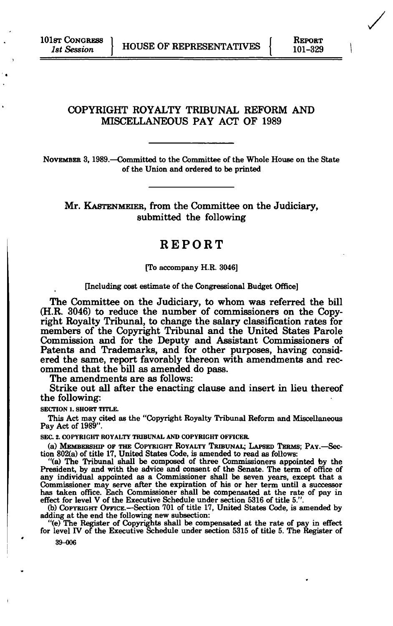## COPYRIGHT ROYALTY TRIBUNAL REFORM AND MISCELLANEOUS PAY ACT OF 1989

**NOVEMBER 3,1989.—Committed to the Committee of the Whole House on the State of the Union and ordered to be printed** 

Mr. KASTENMEIER, from the Committee on the Judiciary, submitted the following

## REPORT

#### **[To accompany H.R. 3046]**

### **[Including cost estimate of the Congressional Budget Office]**

The Committee on the Judiciary, to whom was referred the bill (H.R. 3046) to reduce the number of commissioners on the Copyright Royalty Tribunal, to change the salary classification rates for members of the Copyright Tribunal and the United States Parole Commission and for the Deputy and Assistant Commissioners of Patents and Trademarks, and for other purposes, having considered the same, report favorably thereon with amendments and recommend that the bill as amended do pass.

The amendments are as follows:

Strike out all after the enacting clause and insert in lieu thereof the following:

**SECTION 1. SHORT TITLE.** 

**This Act may cited as the "Copyright Royalty Tribunal Reform and Miscellaneous Pay Act of 1989".** 

**SEC. 2. COPYRIGHT ROYALTY TRIBUNAL AND COPYRIGHT OFFICER** 

**(a) MEMBERSHIP OF THE COPYRIGHT ROYALTY TRIBUNAL; LAPSED TERMS; PAY.—Section 802(a) of title 17, United States Code, is amended to read as follows:** 

**"(a) The Tribunal shall be composed of three Commissioners appointed by the**  President, by and with the advice and consent of the Senate. The term of office of **any individual appointed as a Commissioner shall be seven years, except that a**  Commissioner may serve after the expiration of his or her term until a successor<br>has taken office. Each Commissioner shall be compensated at the rate of pay in<br>effect for level V of the Executive Schedule under section 531

**(b) COPYRIGHT OFFICE.—Section 701 of title 17, United States Code, is amended by adding at the end the following new subsection:** 

**"(e) The Register of Copyrights shall be compensated at the rate of pay in effect for level IV of the Executive Schedule under section 5315 of title 5. The Register of** 

**39-006**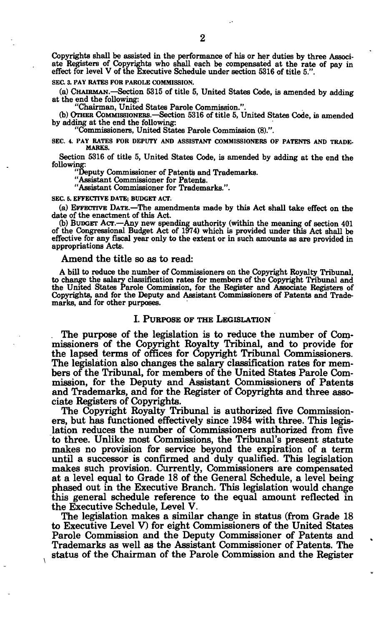Copyrights shall be assisted in the performance of his or her duties by three Associate Registers of Copyrights who shall each be compensated at the rate of pay in effect for level V of the Executive Schedule under section 5316 of title 5.".

#### **SEC. 3. PAY RATES FOR PAROLE COMMISSION.**

(a) CHAIRMAN.—Section 5315 of title 5, United States Code, is amended by adding at the end the following:

"Chairman, United States Parole Commission.".

(b) OTHER COMMISSIONERS.—Section 5316 of title 5, United States Code, is amended by adding at the end the following:

"Commissioners, United States Parole Commission (8).".

**SEC. 4. PAY RATES FOR DEPUTY AND ASSISTANT COMMISSIONERS OF PATENTS AND TRADE-MARKS.** 

Section 5316 of title 5, United States Code, is amended by adding at the end the following:

"Deputy Commissioner of Patents and Trademarks.

"Assistant Commissioner for Patents.

"Assistant Commissioner for Trademarks.".

#### **SEC 5. EFFECTIVE DATE; BUDGET ACT.**

(a) EFFECTIVE DATE.—The amendments made by this Act shall take effect on the date of the enactment of this Act.

(b) BUDGET ACT.—Any new spending authority (within the meaning of section 401 of the Congressional Budget Act of 1974) which is provided under this Act shall be effective for any fiscal year only to the extent or in such amounts as are provided in appropriations Acts.

#### Amend the title so as to read:

A bill to reduce the number of Commissioners on the Copyright Royalty Tribunal, to change the salary classification rates for members of the Copyright Tribunal and<br>the United States Parole Commission, for the Register and Associate Registers of<br>Copyrights, and for the Deputy and Assistant Commissioner marks, and for other purposes.

#### **I. PURPOSE OF THE LEGISLATION**

. The purpose of the legislation is to reduce the number of Commissioners of the Copyright Royalty Tribinal, and to provide for the lapsed terms of offices for Copyright Tribunal Commissioners. The legislation also changes the salary classification rates for members of the Tribunal, for members of the United States Parole Commission, for the Deputy and Assistant Commissioners of Patents and Trademarks, and for the Register of Copyrights and three associate Registers of Copyrights.

The Copyright Royalty Tribunal is authorized five Commissioners, but has functioned effectively since 1984 with three. This legislation reduces the number of Commissioners authorized from five to three. Unlike most Commissions, the Tribunal's present statute makes no provision for service beyond the expiration of a term until a successor is confirmed and duly qualified. This legislation makes such provision. Currently, Commissioners are compensated at a level equal to Grade 18 of the General Schedule, a level being phased out in the Executive Branch. This legislation would change this general schedule reference to the equal amount reflected in the Executive Schedule, Level V.

The legislation makes a similar change in status (from Grade 18 to Executive Level V) for eight Commissioners of the United States Parole Commission and the Deputy Commissioner of Patents and Trademarks as well as the Assistant Commissioner of Patents. The status of the Chairman of the Parole Commission and the Register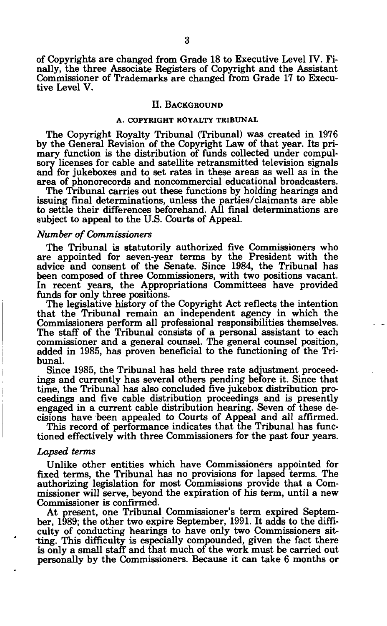of Copyrights are changed from Grade 18 to Executive Level IV. Finally, the three Associate Registers of Copyright and the Assistant Commissioner of Trademarks are changed from Grade 17 to Executive Level V.

### **II. BACKGROUND**

## **A. COPYRIGHT ROYALTY TRIBUNAL**

The Copyright Royalty Tribunal (Tribunal) was created in 1976 by the General Revision of the Copyright Law of that year. Its primary function is the distribution of funds collected under compulsory licenses for cable and satellite retransmitted television signals and for jukeboxes and to set rates in these areas as well as in the area of phonorecords and noncommercial educational broadcasters.

The Tribunal carries out these functions by holding hearings and issuing final determinations, unless the parties/claimants are able to settle their differences beforehand. All final determinations are subject to appeal to the U.S. Courts of Appeal.

### *Number of Commissioners*

The Tribunal is statutorily authorized five Commissioners who are appointed for seven-year terms by the President with the advice and consent of the Senate. Since 1984, the Tribunal has been composed of three Commissioners, with two positions vacant. In recent years, the Appropriations Committees have provided funds for only three positions.

The legislative history of the Copyright Act reflects the intention that the Tribunal remain an independent agency in which the Commissioners perform all professional responsibilities themselves. The staff of the Tribunal consists of a personal assistant to each commissioner and a general counsel. The general counsel position, added in 1985, has proven beneficial to the functioning of the Tribunal.

Since 1985, the Tribunal has held three rate adjustment proceedings and currently has several others pending before it. Since that time, the Tribunal has also concluded five jukebox distribution proceedings and five cable distribution proceedings and is presently engaged in a current cable distribution hearing. Seven of these decisions have been appealed to Courts of Appeal and all affirmed.

This record of performance indicates that the Tribunal has functioned effectively with three Commissioners for the past four years.

#### *Lapsed terms*

Unlike other entities which have Commissioners appointed for fixed terms, the Tribunal has no provisions for lapsed terms. The authorizing legislation for most Commissions provide that a Commissioner will serve, beyond the expiration of his term, until a new Commissioner is confirmed.

At present, one Tribunal Commissioner's term expired September, 1989; the other two expire September, 1991. It adds to the difficulty of conducting hearings to have only two Commissioners sitting. This difficulty is especially compounded, given the fact there is only a small staff and that much of the work must be carried out personally by the Commissioners. Because it can take 6 months or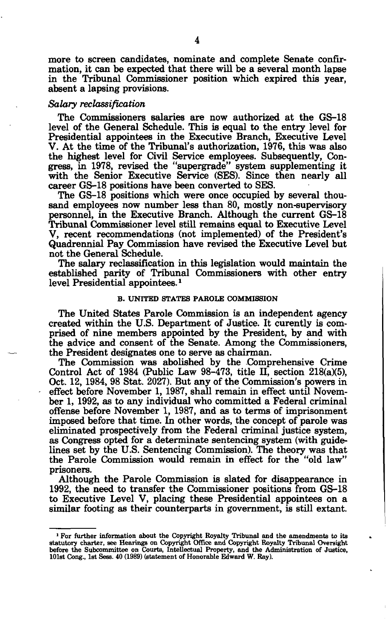more to screen candidates, nominate and complete Senate confirmation, it can be expected that there will be a several month lapse in the Tribunal Commissioner position which expired this year, absent a lapsing provisions.

## *Salary reclassification*

The Commissioners salaries are now authorized at the GS-18 level of the General Schedule. This is equal to the entry level for Presidential appointees in the Executive Branch, Executive Level V. At the time of the Tribunal's authorization, 1976, this was also the highest level for Civil Service employees. Subsequently, Congress, in 1978, revised the "supergrade" system supplementing it with the Senior Executive Service (SES). Since then nearly all career GS-18 positions have been converted to SES.

The GS-18 positions which were once occupied by several thousand employees now number less than 80, mostly non-supervisory personnel, in the Executive Branch. Although the current GS-18 Tribunal Commissioner level still remains equal to Executive Level V, recent recommendations (not implemented) of the President's Quadrennial Pay Commission have revised the Executive Level but not the General Schedule.

The salary reclassification in this legislation would maintain the established parity of Tribunal Commissioners with other entry level Presidential appointees.<sup>1</sup>

#### **B. UNITED STATES PAROLE COMMISSION**

The United States Parole Commission is an independent agency created within the U.S. Department of Justice. It curently is comprised of nine members appointed by the President, by and with the advice and consent of the Senate. Among the Commissioners, the President designates one to serve as chairman.

The Commission was abolished by the Comprehensive Crime Control Act of 1984 (Public Law 98-473, title II, section 218(a)(5), Oct. 12, 1984, 98 Stat. 2027). But any of the Commission's powers in effect before November 1, 1987, shall remain in effect until November 1, 1992, as to any individual who committed a Federal criminal offense before November 1, 1987, and as to terms of imprisonment imposed before that time. In other words, the concept of parole was eliminated prospectively from the Federal criminal justice system, as Congress opted for a determinate sentencing system (with guidelines set by the U.S. Sentencing Commission). The theory was that the Parole Commission would remain in effect for the "old law" prisoners.

Although the Parole Commission is slated for disappearance in 1992, the need to transfer the Commissioner positions from GS-18 to Executive Level V, placing these Presidential appointees on a similar footing as their counterparts in government, is still extant.

<sup>&</sup>lt;sup>1</sup> For further information about the Copyright Royalty Tribunal and the amendments to its statutory charter, see Hearings on Copyright Office and Copyright Royalty Tribunal Oversight before the Subcommittee on Courts, Int 101st Cong., 1st Sess. 40 (1989) (statement of Honorable Edward **W.** Ray).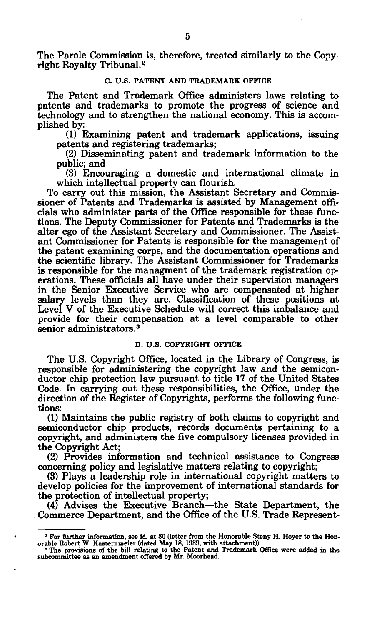The Parole Commission is, therefore, treated similarly to the Copyright Royalty Tribunal.<sup>2</sup>

### C. **U.S. PATENT AND TRADEMARK OFFICE**

The Patent and Trademark Office administers laws relating to patents and trademarks to promote the progress of science and technology and to strengthen the national economy. This is accomplished by:

(1) Examining patent and trademark applications, issuing patents and registering trademarks;

(2) Disseminating patent and trademark information to the public; and

(3) Encouraging a domestic and international climate in which intellectual property can flourish.

To carry out this mission, the Assistant Secretary and Commissioner of Patents and Trademarks is assisted by Management officials who administer parts of the Office responsible for these functions. The Deputy Commissioner for Patents and Trademarks is the alter ego of the Assistant Secretary and Commissioner. The Assistant Commissioner for Patents is responsible for the management of the patent examining corps, and the documentation operations and the scientific library. The Assistant Commissioner for Trademarks is responsible for the managment of the trademark registration operations. These officials all have under their supervision managers in the Senior Executive Service who are compensated at higher salary levels than they are. Classification of these positions at Level V of the Executive Schedule will correct this imbalance and provide for their compensation at a level comparable to other senior administrators.<sup>3</sup>

#### **D. U.S. COPYRIGHT OFFICE**

The U.S. Copyright Office, located in the Library of Congress, is responsible for administering the copyright law and the semiconductor chip protection law pursuant to title 17 of the United States Code. In carrying out these responsibilities, the Office, under the direction of the Register of Copyrights, performs the following functions:

(1) Maintains the public registry of both claims to copyright and semiconductor chip products, records documents pertaining to a copyright, and administers the five compulsory licenses provided in the Copyright Act;

(2) Provides information and technical assistance to Congress concerning policy and legislative matters relating to copyright;

(3) Plays a leadership role in international copyright matters to develop policies for the improvement of international standards for the protection of intellectual property;

(4) Advises the Executive Branch—the State Department, the Commerce Department, and the Office of the U.S. Trade Represent-

<sup>&</sup>lt;sup>2</sup> For further information, see id. at 80 (letter from the Honorable Steny H. Hoyer to the Hon-

orable Robert W. Kastemmeier (dated May 18, 1989, with attachment)). 3 The provisions of the bill relating to the Patent and Trademark Office were added in the subcommittee as an amendment offered by Mr. Moorhead.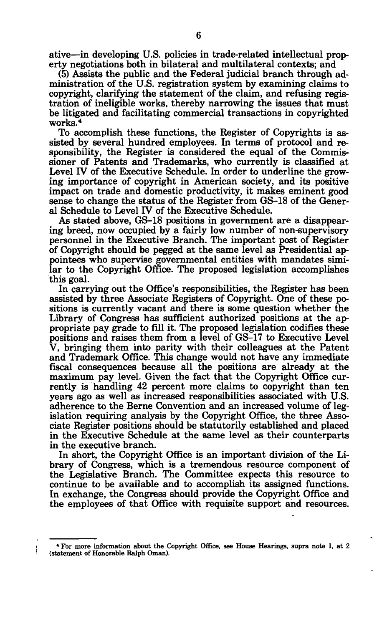ative—in developing U.S. policies in trade-related intellectual property negotiations both in bilateral and multilateral contexts; and

(5) Assists the public and the Federal judicial branch through administration of the U.S. registration system by examining claims to copyright, clarifying the statement of the claim, and refusing registration of ineligible works, thereby narrowing the issues that must be litigated and facilitating commercial transactions in copyrighted works.<sup>4</sup>

To accomplish these functions, the Register of Copyrights is assisted by several hundred employees. In terms of protocol and responsibility, the Register is considered the equal of the Commissioner of Patents and Trademarks, who currently is classified at Level IV of the Executive Schedule. In order to underline the growing importance of copyright in American society, and its positive impact on trade and domestic productivity, it makes eminent good sense to change the status of the Register from GS-18 of the General Schedule to Level IV of the Executive Schedule.

As stated above, GS-18 positions in government are a disappearing breed, now occupied by a fairly low number of non-supervisory personnel in the Executive Branch. The important post of Register of Copyright should be pegged at the same level as Presidential appointees who supervise governmental entities with mandates similar to the Copyright Office. The proposed legislation accomplishes this goal.

In carrying out the Office's responsibilities, the Register has been assisted by three Associate Registers of Copyright. One of these positions is currently vacant and there is some question whether the Library of Congress has sufficient authorized positions at the appropriate pay grade to fill it. The proposed legislation codifies these positions and raises them from a level of GS-17 to Executive Level V, bringing them into parity with their colleagues at the Patent and Trademark Office. This change would not have any immediate fiscal consequences because all the positions are already at the maximum pay level. Given the fact that the Copyright Office currently is handling 42 percent more claims to copyright than ten years ago as well as increased responsibilities associated with U.S. adherence to the Berne Convention and an increased volume of legislation requiring analysis by the Copyright Office, the three Associate Register positions should be statutorily established and placed in the Executive Schedule at the same level as their counterparts in the executive branch.

In short, the Copyright Office is an important division of the Library of Congress, which is a tremendous resource component of the Legislative Branch. The Committee expects this resource to continue to be available and to accomplish its assigned functions. In exchange, the Congress should provide the Copyright Office and the employees of that Office with requisite support and resources.

**<sup>4</sup> For more information about the Copyright Office, see House Hearings, supra note 1, at 2 (statement of Honorable Ralph Oman).**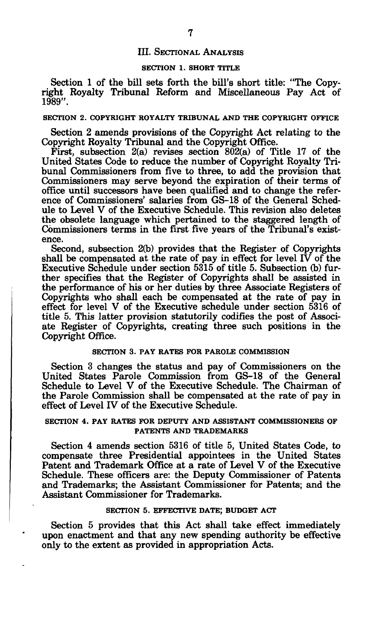## III. SECTIONAL ANALYSIS

## **SECTION 1. SHORT TITLE**

Section 1 of the bill sets forth the bill's short title: "The Copyright Royalty Tribunal Reform and Miscellaneous Pay Act of 1989".

#### **SECTION 2. COPYRIGHT ROYALTY TRIBUNAL AND THE COPYRIGHT OFFICE**

Section 2 amends provisions of the Copyright Act relating to the Copyright Royalty Tribunal and the Copyright Office.

First, subsection 2(a) revises section 802(a) of Title 17 of the United States Code to reduce the number of Copyright Royalty Tribunal Commissioners from five to three, to add the provision that Commissioners may serve beyond the expiration of their terms of office until successors have been qualified and to change the reference of Commissioners' salaries from GS-18 of the General Schedule to Level V of the Executive Schedule. This revision also deletes the obsolete language which pertained to the staggered length of Commissioners terms in the first five years of the Tribunal's existence.

Second, subsection 2(b) provides that the Register of Copyrights shall be compensated at the rate of pay in effect for level IV of the Executive Schedule under section 5315 of title 5. Subsection (b) further specifies that the Register of Copyrights shall be assisted in the performance of his or her duties by three Associate Registers of Copyrights who shall each be compensated at the rate of pay in effect for level V of the Executive schedule under section 5316 of title 5. This latter provision statutorily codifies the post of Associate Register of Copyrights, creating three such positions in the Copyright Office.

## **SECTION 3. PAY RATES FOR PAROLE COMMISSION**

Section 3 changes the status and pay of Commissioners on the United States Parole Commission from GS-18 of the General Schedule to Level V of the Executive Schedule. The Chairman of the Parole Commission shall be compensated at the rate of pay in effect of Level IV of the Executive Schedule.

## **SECTION 4. PAY RATES FOR DEPUTY AND ASSISTANT COMMISSIONERS OF PATENTS AND TRADEMARKS**

Section 4 amends section 5316 of title 5, United States Code, to compensate three Presidential appointees in the United States Patent and Trademark Office at a rate of Level V of the Executive Schedule. These officers are: the Deputy Commissioner of Patents and Trademarks; the Assistant Commissioner for Patents; and the Assistant Commissioner for Trademarks.

### **SECTION 5. EFFECTIVE DATE; BUDGET ACT**

Section 5 provides that this Act shall take effect immediately upon enactment and that any new spending authority be effective only to the extent as provided in appropriation Acts.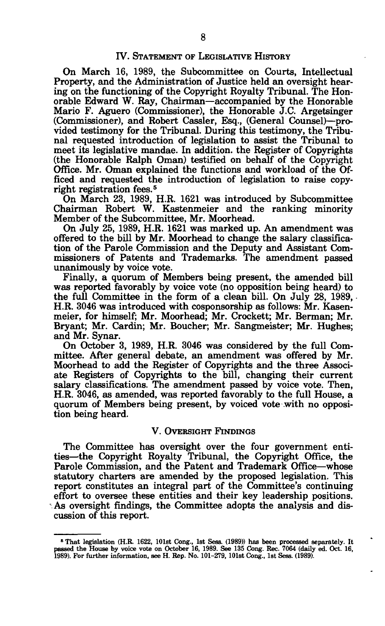## IV. STATEMENT OF LEGISLATIVE HISTORY

On March 16, 1989, the Subcommittee on Courts, Intellectual Property, and the Administration of Justice held an oversight hearing on the functioning of the Copyright Royalty Tribunal. The Honorable Edward W. Ray, Chairman—accompanied by the Honorable Mario F. Aguero (Commissioner), the Honorable J.C. Argetsinger (Commissioner), and Robert Cassler, Esq., (General Counsel)—provided testimony for the Tribunal. During this testimony, the Tribunal requested introduction of legislation to assist the Tribunal to meet its legislative mandae. In addition, the Register of Copyrights (the Honorable Ralph Oman) testified on behalf of the Copyright Office. Mr. Oman explained the functions and workload of the Officed and requested the introduction of legislation to raise copyright registration fees.<sup>5</sup>

On March 23, 1989, H.R. 1621 was introduced by Subcommittee Chairman Robert W. Kastenmeier and the ranking minority Member of the Subcommittee, Mr. Moorhead.

On July 25, 1989, H.R. 1621 was marked up. An amendment was offered to the bill by Mr. Moorhead to change the salary classification of the Parole Commission and the Deputy and Assistant Commissioners of Patents and Trademarks. The amendment passed unanimously by voice vote.

Finally, a quorum of Members being present, the amended bill was reported favorably by voice vote (no opposition being heard) to the full Committee in the form of a clean bill. On July 28, 1989, • H.R. 3046 was introduced with cosponsorship as follows: Mr. Kasenmeier, for himself; Mr. Moorhead; Mr. Crockett; Mr. Berman; Mr. Bryant; Mr. Cardin; Mr. Boucher; Mr. Sangmeister; Mr. Hughes; and Mr. Synar.

On October 3, 1989, H.R. 3046 was considered by the full Committee. After general debate, an amendment was offered by Mr. Moorhead to add the Register of Copyrights and the three Associate Registers of Copyrights to the bill, changing their current salary classifications. The amendment passed by voice vote. Then, H.R. 3046, as amended, was reported favorably to the full House, a quorum of Members being present, by voiced vote with no opposition being heard.

### V. OVERSIGHT FINDINGS

The Committee has oversight over the four government entities—the Copyright Royalty Tribunal, the Copyright Office, the Parole Commission, and the Patent and Trademark Office—whose statutory charters are amended by the proposed legislation. This report constitutes an integral part of the Committee's continuing effort to oversee these entities and their key leadership positions. As oversight findings, the Committee adopts the analysis and discussion of this report.

**<sup>5</sup> That legislation (H.R. 1622, 101st Cong., 1st Sess. (1989)) has been processed separately. It passed the House by voice vote on October 16, 1989. See 135 Cong. Rec. 7064 (daily ed. Oct. 16, 1989). For further information, see H. Rep. No. 101-279, 101st Cong., 1st Sess. (1989).**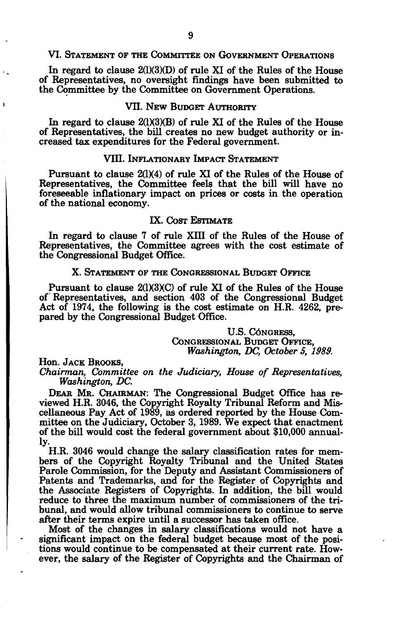### VI. STATEMENT OF THE COMMITTEE ON GOVERNMENT OPERATIONS

In regard to clause 2(1)(3)(D) of rule XI of the Rules of the House of Representatives, no oversight findings have been submitted to the Committee by the Committee on Government Operations.

## VII. NEW BUDGET AUTHORITY

In regard to clause  $2(1)(3)(B)$  of rule XI of the Rules of the House of Representatives, the bill creates no new budget authority or increased tax expenditures for the Federal government.

## VIII. INFLATIONARY IMPACT STATEMENT

Pursuant to clause 2(1)(4) of rule XI of the Rules of the House of Representatives, the Committee feels that the bill will have no foreseeable inflationary impact on prices or costs in the operation of the national economy.

## IX. COST ESTIMATE

In regard to clause 7 of rule XIII of the Rules of the House of Representatives, the Committee agrees with the cost estimate of the Congressional Budget Office.

## X. STATEMENT OF THE CONGRESSIONAL BUDGET OFFICE

Pursuant to clause  $2(1)(3)(C)$  of rule XI of the Rules of the House of Representatives, and section 403 of the Congressional Budget Act of 1974, the following is the cost estimate on H.R. 4262, prepared by the Congressional Budget Office.

> U.S. CONGRESS. CONGRESSIONAL BUDGET OFFICE, *Washington, DC, October 5, 1989.*

Hon. JACK BROOKS,

*Chairman, Committee on the Judiciary, House of Representatives, Washington, DC.* 

DEAR MR. CHAIRMAN: The Congressional Budget Office has reviewed H.R. 3046, the Copyright Royalty Tribunal Reform and Miscellaneous Pay Act of 1989, as ordered reported by the House Committee on the Judiciary, October 3, 1989. We expect that enactment of the bill would cost the federal government about \$10,000 annually-

H.R. 3046 would change the salary classification rates for members of the Copyright Royalty Tribunal and the United States Parole Commission, for the Deputy and Assistant Commissioners of Patents and Trademarks, and for the Register of Copyrights and the Associate Registers of Copyrights. In addition, the bill would reduce to three the maximum number of commissioners of the tribunal, and would allow tribunal commissioners to continue to serve after their terms expire until a successor has taken office.

Most of the changes in salary classifications would not have a significant impact on the federal budget because most of the positions would continue to be compensated at their current rate. However, the salary of the Register of Copyrights and the Chairman of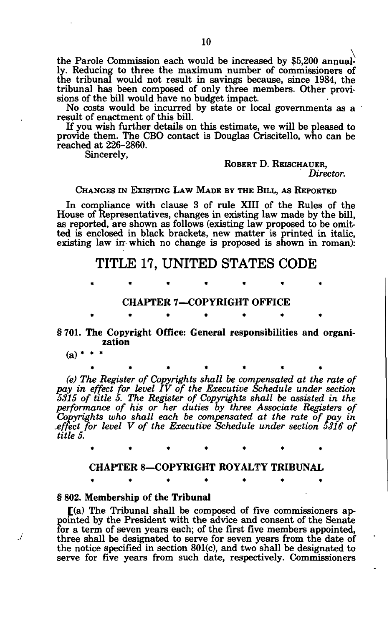the Parole Commission each would be increased by \$5,200 annually. Reducing to three the maximum number of commissioners of the tribunal would not result in savings because, since 1984, the tribunal has been composed of only three members. Other provisions of the bill would have no budget impact.

No costs would be incurred by state or local governments as a result of enactment of this bill.

If you wish further details on this estimate, we will be pleased to provide them. The CBO contact is Douglas Criscitello, who can be reached at 226-2860.

Sincerely,

ROBERT D. REISCHAUER, *Director.* 

CHANGES IN EXISTING LAW MADE BY THE BILL, AS REPORTED

In compliance with clause 3 of rule XIII of the Rules of the House of Representatives, changes in existing law made by the bill, as reported, are shown as follows (existing law proposed to be omitted is enclosed in black brackets, new matter is printed in italic, existing law in which no change is proposed is shown in roman):

## **TITLE 17, UNITED STATES CODE**

## CHAPTER 7—COPYRIGHT OFFICE

## § 701. The Copyright Office: General responsibilities and organization

\*\*\*\*\*\* \*

 $(a)$  \*

./

*(e) The Register of Copyrights shall be compensated at the rate of pay in effect for level IV of the Executive Schedule under section 5315 of title 5. The Register of Copyrights shall be assisted in the performance of his or her duties by three Associate Registers of Copyrights who shall each be compensated at the rate of pay in .effect for level V of the Executive Schedule under section 5316 of title 5.* 

## CHAPTER 8—COPYRIGHT ROYALTY TRIBUNAL

## § 802. Membership of the Tribunal

[(a) The Tribunal shall be composed of five commissioners appointed by the President with the advice and consent of the Senate for a term of seven years each; of the first five members appointed, three shall be designated to serve for seven years from the date of the notice specified in section 801(c), and two shall be designated to serve for five years from such date, respectively. Commissioners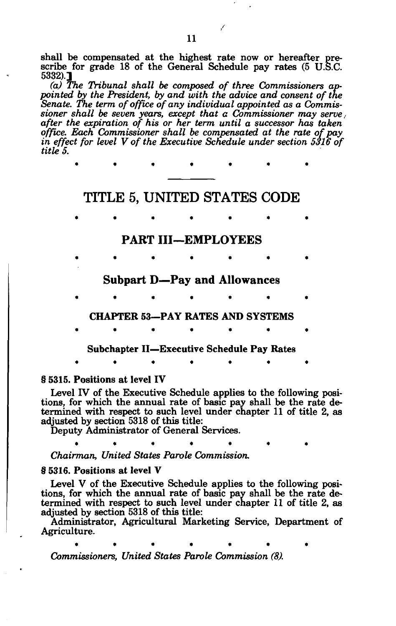shall be compensated at the highest rate now or hereafter prescribe for grade 18 of the General Schedule pay rates (5 U.S.C. 5332).]

*(a) The Tribunal shall be composed of three Commissioners appointed by the President, by and with the advice and consent of the Senate. The term of office of any individual appointed as a Commissioner shall be seven years, except that a Commissioner may serve, after the expiration of his or her term until a successor has taken office. Each Commissioner shall be compensated at the rate of pay in effect for level V of the Executive Schedule under section 5316 of title 5.* 

# **TITLE 5, UNITED STATES CODE**

\*\*\*\*\*\* \*

**\*\*\*\*\*\* \*** 

## **PART III—EMPLOYEES**

**• \*•••\* • Subpart D—Pay and Allowances**   $\bullet$  . The set of the set of the set of the set of the set of the set of the set of the set of the set of the set of the set of the set of the set of the set of the set of the set of the set of the set of the set of the s **CHAPTER 53—PAY RATES AND SYSTEMS \*\*\*\*\*\* \*** 

**Subchapter II—Executive Schedule Pay Rates** 

**\*\*\*\*\*\* \*** 

## **§ 5315. Positions at level IY**

Level IV of the Executive Schedule applies to the following positions, for which the annual rate of basic pay shall be the rate determined with respect to such level under chapter 11 of title 2, as adjusted by section 5318 of this title:

 $\bullet$  . The set of the set of the set of the set of the set of the set of the set of the set of the set of the set of the set of the set of the set of the set of the set of the set of the set of the set of the set of the s

Deputy Administrator of General Services.

*Chairman, United States Parole Commission.* 

## **§ 5316. Positions at level Y**

Level V of the Executive Schedule applies to the following positions, for which the annual rate of basic pay shall be the rate determined with respect to such level under chapter 11 of title 2, as adjusted by section 5318 of this title:

Administrator, Agricultural Marketing Service, Department of Agriculture.

\*\*\*\* \*\*\* \*\*\* \*\* \*\*

*Commissioners, United States Parole Commission (8).*